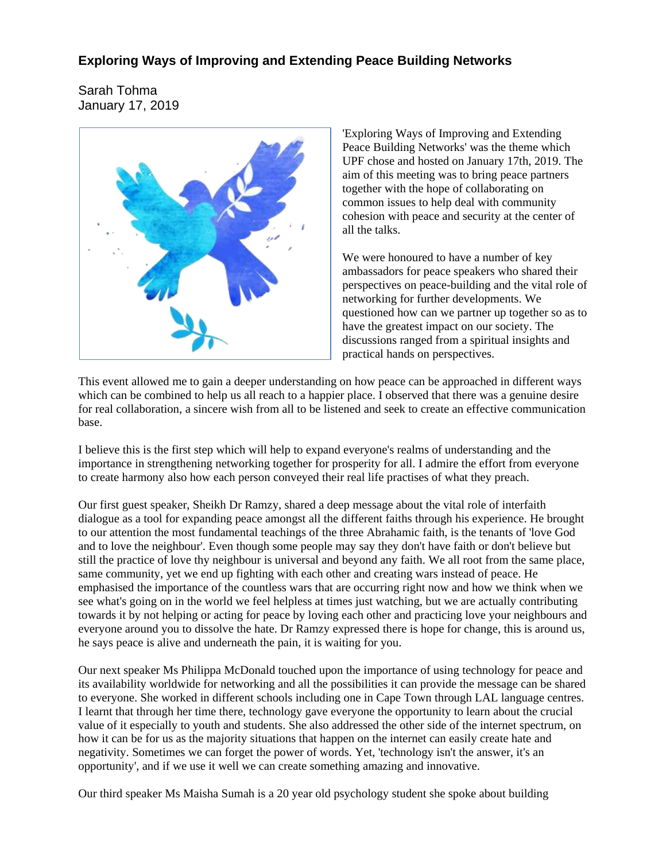## **Exploring Ways of Improving and Extending Peace Building Networks**

Sarah Tohma January 17, 2019



'Exploring Ways of Improving and Extending Peace Building Networks' was the theme which UPF chose and hosted on January 17th, 2019. The aim of this meeting was to bring peace partners together with the hope of collaborating on common issues to help deal with community cohesion with peace and security at the center of all the talks.

We were honoured to have a number of key ambassadors for peace speakers who shared their perspectives on peace-building and the vital role of networking for further developments. We questioned how can we partner up together so as to have the greatest impact on our society. The discussions ranged from a spiritual insights and practical hands on perspectives.

This event allowed me to gain a deeper understanding on how peace can be approached in different ways which can be combined to help us all reach to a happier place. I observed that there was a genuine desire for real collaboration, a sincere wish from all to be listened and seek to create an effective communication base.

I believe this is the first step which will help to expand everyone's realms of understanding and the importance in strengthening networking together for prosperity for all. I admire the effort from everyone to create harmony also how each person conveyed their real life practises of what they preach.

Our first guest speaker, Sheikh Dr Ramzy, shared a deep message about the vital role of interfaith dialogue as a tool for expanding peace amongst all the different faiths through his experience. He brought to our attention the most fundamental teachings of the three Abrahamic faith, is the tenants of 'love God and to love the neighbour'. Even though some people may say they don't have faith or don't believe but still the practice of love thy neighbour is universal and beyond any faith. We all root from the same place, same community, yet we end up fighting with each other and creating wars instead of peace. He emphasised the importance of the countless wars that are occurring right now and how we think when we see what's going on in the world we feel helpless at times just watching, but we are actually contributing towards it by not helping or acting for peace by loving each other and practicing love your neighbours and everyone around you to dissolve the hate. Dr Ramzy expressed there is hope for change, this is around us, he says peace is alive and underneath the pain, it is waiting for you.

Our next speaker Ms Philippa McDonald touched upon the importance of using technology for peace and its availability worldwide for networking and all the possibilities it can provide the message can be shared to everyone. She worked in different schools including one in Cape Town through LAL language centres. I learnt that through her time there, technology gave everyone the opportunity to learn about the crucial value of it especially to youth and students. She also addressed the other side of the internet spectrum, on how it can be for us as the majority situations that happen on the internet can easily create hate and negativity. Sometimes we can forget the power of words. Yet, 'technology isn't the answer, it's an opportunity', and if we use it well we can create something amazing and innovative.

Our third speaker Ms Maisha Sumah is a 20 year old psychology student she spoke about building